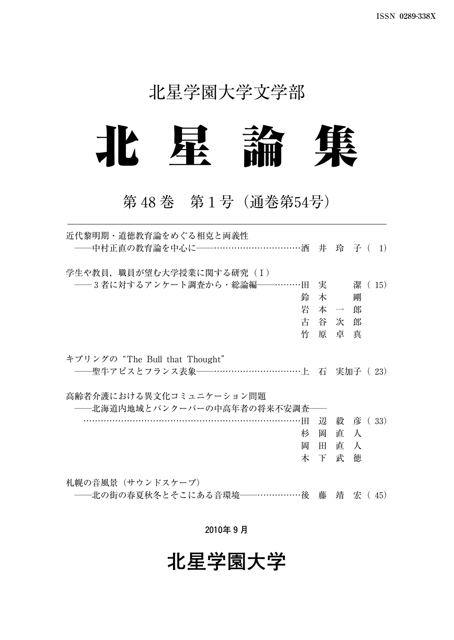## 北星学園大学文学部



## 第48巻 第1号(通巻第54号)

| 近代黎明期・道徳教育論をめぐる相克と両義性                   |               |         |           |  |
|-----------------------------------------|---------------|---------|-----------|--|
| -- 中村正直の教育論を中心に–––…………………………酒 井 玲 子 (1) |               |         |           |  |
| 学生や教員, 職員が望む大学授業に関する研究 (I)              |               |         |           |  |
| ──3 者に対するアンケート調査から・総論編──………田 実 ネ 潔 (15) |               |         |           |  |
| 鈴                                       |               | 木 ちょうかん | 剛         |  |
| 岩                                       |               | 本 一 郎   |           |  |
|                                         | 古谷次郎          |         |           |  |
| 竹                                       |               | 原卓真     |           |  |
| キプリングの "The Bull that Thought"          |               |         |           |  |
| ――聖牛アピスとフランス表象――……………………………上 石 実加子( 23) |               |         |           |  |
| 高齢者介護における異文化コミュニケーション問題                 |               |         |           |  |
| ――北海道内地域とバンクーバーの中高年者の将来不安調査――           |               |         |           |  |
| $\cdot \mathbb{H}$                      | $\mathcal{D}$ |         | 毅 彦 ( 33) |  |
| 杉                                       | 岡             | 直       | $\lambda$ |  |
| 岡                                       | H FI          | 直人      |           |  |
|                                         | 木下            | 武       | 徳         |  |
| 札幌の音風景(サウンドスケープ)                        |               |         |           |  |

――北の街の春夏秋冬とそこにある音環境――……………後 藤 靖 宏( 45)

**2010年9月**

# **北星学園大学**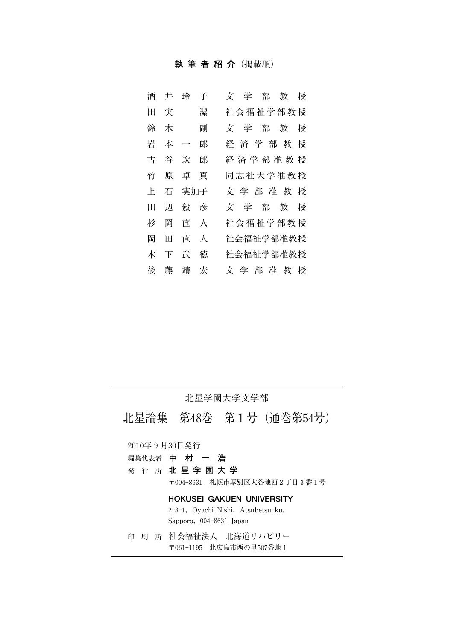#### **執筆者紹介**(掲載順)

| 酒   | 井 | 玲                        | 子 | 部<br>一学<br>授<br>文<br>教 |
|-----|---|--------------------------|---|------------------------|
| Ħ   | 実 |                          | 潔 | 社会福祉学部教授               |
| 鈴   | 木 |                          | 剛 | 学 部<br>教<br>授<br>Ý.    |
| 岩   | 本 | $\overline{\phantom{0}}$ | 郎 | 経済学部教<br>授             |
| 古   | 谷 | 次                        | 郎 | 経 済 学 部 准 教 授          |
| 竹   | 原 | 卓                        | 真 | 同志社大学准教授               |
|     |   |                          |   |                        |
| ΞĿ. | 石 | 実加子                      |   | 文学部准教<br>授             |
| H   | 辺 | 毅                        | 彦 | 学<br>部<br>教<br>授<br>Ÿ  |
| 杉   | 岡 | 直                        | 大 | 社会福祉学部教授               |
| 岡   | ⊞ | 直                        | 人 | 社会福祉学部准教授              |
| 木   | 下 | 武                        | 徳 | 社会福祉学部准教授              |

#### 北星学園大学文学部

北星論集 第48巻 第1号(通巻第54号)

2010年9月30日発行

- 編集代表者 **中村一浩**
- 発行所 **北星学園大学**

〒0048631 札幌市厚別区大谷地西2丁目3番1号

#### **HOKUSEI GAKUEN UNIVERSITY**

2-3-1, Oyachi Nishi, Atsubetsu-ku, Sapporo, 004-8631 Japan

印刷所 社会福祉法人 北海道リハビリー 〒0611195 北広島市西の里507番地1